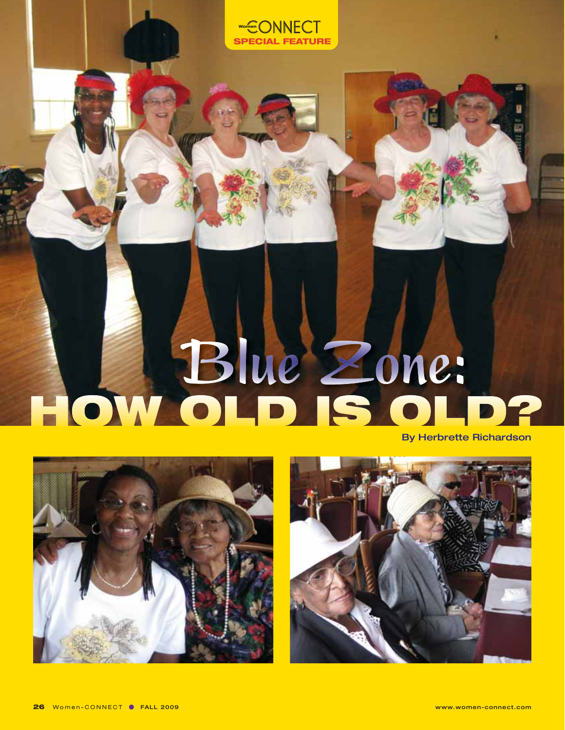

**CIAL FEATURE** 

ONNECT

**Women**



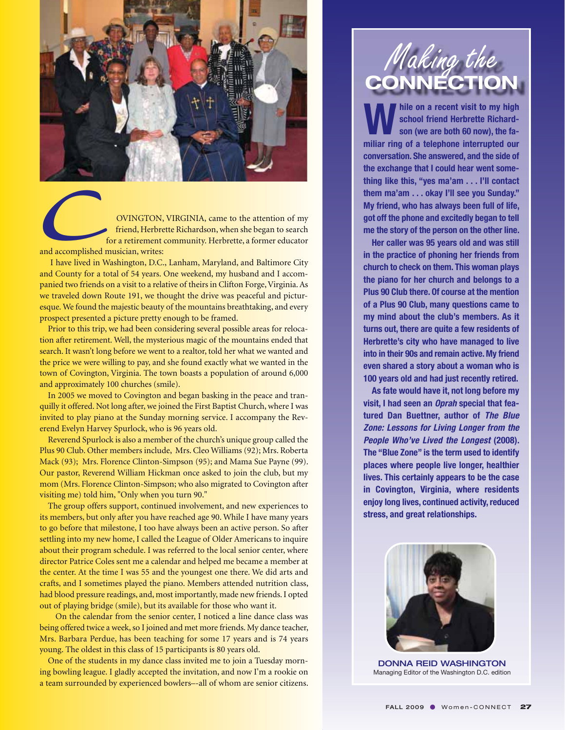

OVINGTON, VIRGINIA, came to the attention of my friend, Herbrette Richardson, when she began to search for a retirement community. Herbrette, a former educator and accomplished musician, writes: and accomplished r

I have lived in Washington, D.C., Lanham, Maryland, and Baltimore City and County for a total of 54 years. One weekend, my husband and I accompanied two friends on a visit to a relative of theirs in Clifton Forge, Virginia. As we traveled down Route 191, we thought the drive was peaceful and picturesque. We found the majestic beauty of the mountains breathtaking, and every prospect presented a picture pretty enough to be framed.

Prior to this trip, we had been considering several possible areas for relocation after retirement. Well, the mysterious magic of the mountains ended that search. It wasn't long before we went to a realtor, told her what we wanted and the price we were willing to pay, and she found exactly what we wanted in the town of Covington, Virginia. The town boasts a population of around 6,000 and approximately 100 churches (smile).

In 2005 we moved to Covington and began basking in the peace and tranquilly it offered. Not long after, we joined the First Baptist Church, where I was invited to play piano at the Sunday morning service. I accompany the Reverend Evelyn Harvey Spurlock, who is 96 years old.

Reverend Spurlock is also a member of the church's unique group called the Plus 90 Club. Other members include, Mrs. Cleo Williams (92); Mrs. Roberta Mack (93); Mrs. Florence Clinton-Simpson (95); and Mama Sue Payne (99). Our pastor, Reverend William Hickman once asked to join the club, but my mom (Mrs. Florence Clinton-Simpson; who also migrated to Covington after visiting me) told him, "Only when you turn 90."

The group offers support, continued involvement, and new experiences to its members, but only after you have reached age 90. While I have many years to go before that milestone, I too have always been an active person. So after settling into my new home, I called the League of Older Americans to inquire about their program schedule. I was referred to the local senior center, where director Patrice Coles sent me a calendar and helped me became a member at the center. At the time I was 55 and the youngest one there. We did arts and crafts, and I sometimes played the piano. Members attended nutrition class, had blood pressure readings, and, most importantly, made new friends. I opted out of playing bridge (smile), but its available for those who want it.

On the calendar from the senior center, I noticed a line dance class was being offered twice a week, so I joined and met more friends. My dance teacher, Mrs. Barbara Perdue, has been teaching for some 17 years and is 74 years young. The oldest in this class of 15 participants is 80 years old.

One of the students in my dance class invited me to join a Tuesday morning bowling league. I gladly accepted the invitation, and now I'm a rookie on a team surrounded by experienced bowlers–-all of whom are senior citizens.



**While on a recent visit to my high<br>
school friend Herbrette Richard-<br>
son (we are both 60 now), the fa-<br>
million ring of a telephone intervanted our school friend Herbrette Richardmiliar ring of a telephone interrupted our conversation. She answered, and the side of the exchange that I could hear went something like this, "yes ma'am . . . I'll contact them ma'am . . . okay I'll see you Sunday." My friend, who has always been full of life, got off the phone and excitedly began to tell me the story of the person on the other line.** 

**Her caller was 95 years old and was still in the practice of phoning her friends from church to check on them. This woman plays the piano for her church and belongs to a Plus 90 Club there. Of course at the mention of a Plus 90 Club, many questions came to my mind about the club's members. As it turns out, there are quite a few residents of Herbrette's city who have managed to live into in their 90s and remain active. My friend even shared a story about a woman who is 100 years old and had just recently retired.** 

**As fate would have it, not long before my visit, I had seen an Oprah special that featured Dan Buettner, author of The Blue Zone: Lessons for Living Longer from the People Who've Lived the Longest (2008). The "Blue Zone" is the term used to identify places where people live longer, healthier lives. This certainly appears to be the case in Covington, Virginia, where residents enjoy long lives, continued activity, reduced stress, and great relationships.** 



DONNA REID WASHINGTON Managing Editor of the Washington D.C. edition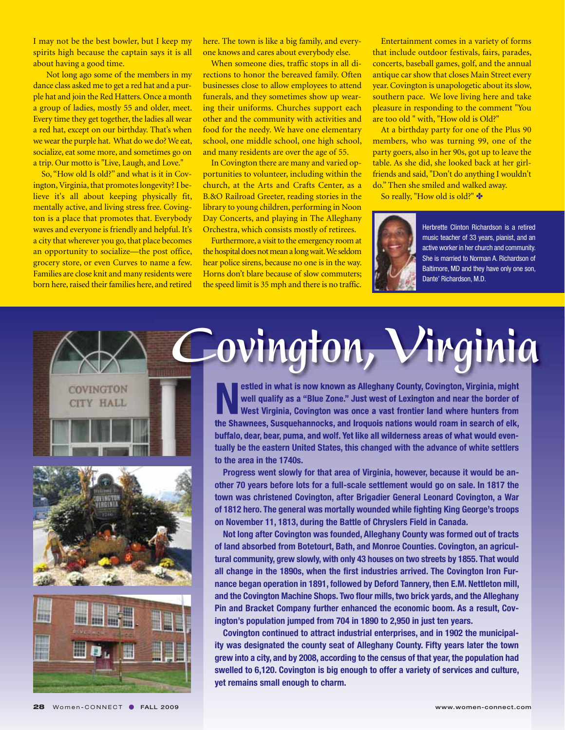I may not be the best bowler, but I keep my spirits high because the captain says it is all about having a good time.

Not long ago some of the members in my dance class asked me to get a red hat and a purple hat and join the Red Hatters. Once a month a group of ladies, mostly 55 and older, meet. Every time they get together, the ladies all wear a red hat, except on our birthday. That's when we wear the purple hat. What do we do? We eat, socialize, eat some more, and sometimes go on a trip. Our motto is "Live, Laugh, and Love."

So, "How old Is old?" and what is it in Covington, Virginia, that promotes longevity? I believe it's all about keeping physically fit, mentally active, and living stress free. Covington is a place that promotes that. Everybody waves and everyone is friendly and helpful. It's a city that wherever you go, that place becomes an opportunity to socialize—the post office, grocery store, or even Curves to name a few. Families are close knit and many residents were born here, raised their families here, and retired

here. The town is like a big family, and everyone knows and cares about everybody else.

When someone dies, traffic stops in all directions to honor the bereaved family. Often businesses close to allow employees to attend funerals, and they sometimes show up wearing their uniforms. Churches support each other and the community with activities and food for the needy. We have one elementary school, one middle school, one high school, and many residents are over the age of 55.

In Covington there are many and varied opportunities to volunteer, including within the church, at the Arts and Crafts Center, as a B.&O Railroad Greeter, reading stories in the library to young children, performing in Noon Day Concerts, and playing in The Alleghany Orchestra, which consists mostly of retirees.

Furthermore, a visit to the emergency room at the hospital does not mean a long wait. We seldom hear police sirens, because no one is in the way. Horns don't blare because of slow commuters; the speed limit is 35 mph and there is no traffic.

Entertainment comes in a variety of forms that include outdoor festivals, fairs, parades, concerts, baseball games, golf, and the annual antique car show that closes Main Street every year. Covington is unapologetic about its slow, southern pace. We love living here and take pleasure in responding to the comment "You are too old " with, "How old is Old?"

At a birthday party for one of the Plus 90 members, who was turning 99, one of the party goers, also in her 90s, got up to leave the table. As she did, she looked back at her girlfriends and said, "Don't do anything I wouldn't do." Then she smiled and walked away.

So really, "How old is old?" ❖



Herbrette Clinton Richardson is a retired music teacher of 33 years, pianist, and an active worker in her church and community. She is married to Norman A. Richardson of Baltimore, MD and they have only one son, Dante' Richardson, M.D.





**Nestled in what is now known as Alleghany County, Covington, Virginia, might** well qualify as a "Blue Zone." Just west of Lexington and near the border of West Virginia, Covington was once a vast frontier land where hunte **well qualify as a "Blue Zone." Just west of Lexington and near the border of the Shawnees, Susquehannocks, and Iroquois nations would roam in search of elk, buffalo, dear, bear, puma, and wolf. Yet like all wilderness areas of what would eventually be the eastern United States, this changed with the advance of white settlers to the area in the 1740s.** 

**Covington, Virginia**

**Progress went slowly for that area of Virginia, however, because it would be another 70 years before lots for a full-scale settlement would go on sale. In 1817 the town was christened Covington, after Brigadier General Leonard Covington, a War of 1812 hero. The general was mortally wounded while fighting King George's troops on November 11, 1813, during the Battle of Chryslers Field in Canada.**

**Not long after Covington was founded, Alleghany County was formed out of tracts of land absorbed from Botetourt, Bath, and Monroe Counties. Covington, an agricultural community, grew slowly, with only 43 houses on two streets by 1855. That would all change in the 1890s, when the first industries arrived. The Covington Iron Furnance began operation in 1891, followed by Deford Tannery, then E.M. Nettleton mill, and the Covington Machine Shops. Two flour mills, two brick yards, and the Alleghany Pin and Bracket Company further enhanced the economic boom. As a result, Covington's population jumped from 704 in 1890 to 2,950 in just ten years.**

**Covington continued to attract industrial enterprises, and in 1902 the municipality was designated the county seat of Alleghany County. Fifty years later the town grew into a city, and by 2008, according to the census of that year, the population had swelled to 6,120. Covington is big enough to offer a variety of services and culture, yet remains small enough to charm.**